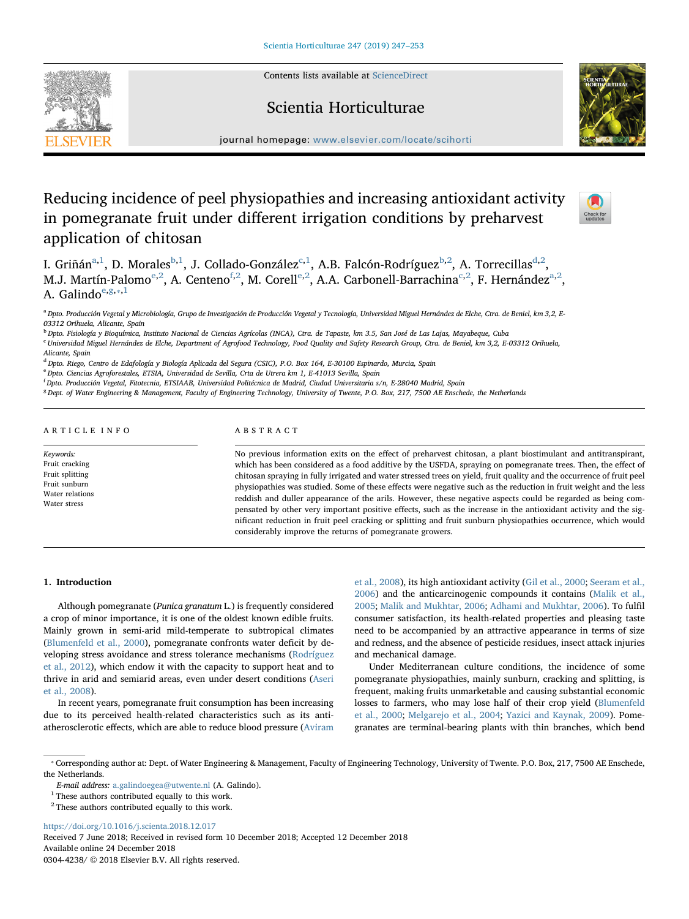Contents lists available at [ScienceDirect](http://www.sciencedirect.com/science/journal/03044238)



journal homepage: [www.elsevier.com/locate/scihorti](https://www.elsevier.com/locate/scihorti)

Scientia Horticulturae

# Reducing incidence of peel physiopathies and increasing antioxidant activity in pomegranate fruit under different irrigation conditions by preharvest application of chitosan



I. Griñán $a,1}$  $a,1}$  $a,1}$ , D. Morales $b,1$  $b,1$ , J. Colla[d](#page-0-5)o-González $c,1}$  $c,1}$ , A.B. Falcón-Rodríguez $b,2}$  $b,2}$  $b,2}$ , A. Torrecillas $d,2}$ , M.J. Martín-Palomo<sup>[e,](#page-0-6)[2](#page-0-4)</sup>, A. Centeno<sup>[f](#page-0-7),2</sup>, M. Cor[e](#page-0-6)ll<sup>e,2</sup>, A.A. Carbonell-Barra[c](#page-0-3)hin[a](#page-0-0)<sup>c[,2](#page-0-4)</sup>, F. Hernández<sup>a,2</sup>, A. Galindo $e, g, *, 1$  $e, g, *, 1$  $e, g, *, 1$  $e, g, *, 1$  $e, g, *, 1$ 

<span id="page-0-0"></span><sup>a</sup> Dpto. Producción Vegetal y Microbiología, Grupo de Investigación de Producción Vegetal y Tecnología, Universidad Miguel Hernández de Elche, Ctra. de Beniel, km 3,2, E-03312 Orihuela, Alicante, Spain

<span id="page-0-2"></span><sup>b</sup> Dpto. Fisiología y Bioquímica, Instituto Nacional de Ciencias Agrícolas (INCA), Ctra. de Tapaste, km 3.5, San José de Las Lajas, Mayabeque, Cuba

<span id="page-0-3"></span><sup>c</sup> Universidad Miguel Hernández de Elche, Department of Agrofood Technology, Food Quality and Safety Research Group, Ctra. de Beniel, km 3,2, E-03312 Orihuela,

<span id="page-0-5"></span><sup>d</sup> Dpto. Riego, Centro de Edafología y Biología Aplicada del Segura (CSIC), P.O. Box 164, E-30100 Espinardo, Murcia, Spain

<span id="page-0-6"></span><sup>e</sup> Dpto. Ciencias Agroforestales, ETSIA, Universidad de Sevilla, Crta de Utrera km 1, E-41013 Sevilla, Spain

<span id="page-0-7"></span>f Dpto. Producción Vegetal, Fitotecnia, ETSIAAB, Universidad Politécnica de Madrid, Ciudad Universitaria s/n, E-28040 Madrid, Spain

<span id="page-0-8"></span><sup>g</sup> Dept. of Water Engineering & Management, Faculty of Engineering Technology, University of Twente, P.O. Box, 217, 7500 AE Enschede, the Netherlands

## ARTICLE INFO

Keywords: Fruit cracking Fruit splitting Fruit sunburn Water relations Water stress

# ABSTRACT

No previous information exits on the effect of preharvest chitosan, a plant biostimulant and antitranspirant, which has been considered as a food additive by the USFDA, spraying on pomegranate trees. Then, the effect of chitosan spraying in fully irrigated and water stressed trees on yield, fruit quality and the occurrence of fruit peel physiopathies was studied. Some of these effects were negative such as the reduction in fruit weight and the less reddish and duller appearance of the arils. However, these negative aspects could be regarded as being compensated by other very important positive effects, such as the increase in the antioxidant activity and the significant reduction in fruit peel cracking or splitting and fruit sunburn physiopathies occurrence, which would considerably improve the returns of pomegranate growers.

# 1. Introduction

Although pomegranate (Punica granatum L.) is frequently considered a crop of minor importance, it is one of the oldest known edible fruits. Mainly grown in semi-arid mild-temperate to subtropical climates ([Blumenfeld et al., 2000](#page-5-0)), pomegranate confronts water deficit by developing stress avoidance and stress tolerance mechanisms ([Rodríguez](#page-5-1) [et al., 2012](#page-5-1)), which endow it with the capacity to support heat and to thrive in arid and semiarid areas, even under desert conditions ([Aseri](#page-5-2) [et al., 2008](#page-5-2)).

In recent years, pomegranate fruit consumption has been increasing due to its perceived health-related characteristics such as its antiatherosclerotic effects, which are able to reduce blood pressure ([Aviram](#page-5-3)

[et al., 2008\)](#page-5-3), its high antioxidant activity ([Gil et al., 2000](#page-5-4); [Seeram et al.,](#page-6-0) [2006\)](#page-6-0) and the anticarcinogenic compounds it contains ([Malik et al.,](#page-5-5) [2005;](#page-5-5) [Malik and Mukhtar, 2006](#page-5-6); [Adhami and Mukhtar, 2006\)](#page-5-7). To fulfil consumer satisfaction, its health-related properties and pleasing taste need to be accompanied by an attractive appearance in terms of size and redness, and the absence of pesticide residues, insect attack injuries and mechanical damage.

Under Mediterranean culture conditions, the incidence of some pomegranate physiopathies, mainly sunburn, cracking and splitting, is frequent, making fruits unmarketable and causing substantial economic losses to farmers, who may lose half of their crop yield [\(Blumenfeld](#page-5-0) [et al., 2000;](#page-5-0) [Melgarejo et al., 2004;](#page-5-8) [Yazici and Kaynak, 2009](#page-6-1)). Pomegranates are terminal-bearing plants with thin branches, which bend

<https://doi.org/10.1016/j.scienta.2018.12.017>

Received 7 June 2018; Received in revised form 10 December 2018; Accepted 12 December 2018 Available online 24 December 2018

0304-4238/ © 2018 Elsevier B.V. All rights reserved.

Alicante, Spain

<span id="page-0-9"></span><sup>⁎</sup> Corresponding author at: Dept. of Water Engineering & Management, Faculty of Engineering Technology, University of Twente. P.O. Box, 217, 7500 AE Enschede, the Netherlands.

E-mail address: [a.galindoegea@utwente.nl](mailto:a.galindoegea@utwente.nl) (A. Galindo).

<span id="page-0-1"></span> $^{\rm 1}$  These authors contributed equally to this work.

<span id="page-0-4"></span> $^{\rm 2}$  These authors contributed equally to this work.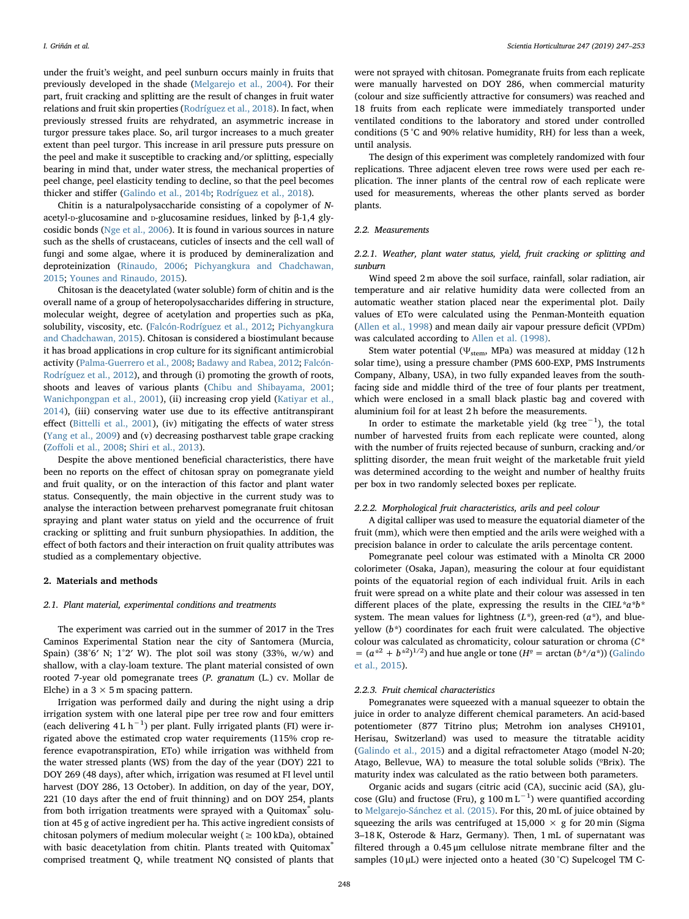under the fruit's weight, and peel sunburn occurs mainly in fruits that previously developed in the shade [\(Melgarejo et al., 2004](#page-5-8)). For their part, fruit cracking and splitting are the result of changes in fruit water relations and fruit skin properties [\(Rodríguez et al., 2018](#page-6-2)). In fact, when previously stressed fruits are rehydrated, an asymmetric increase in turgor pressure takes place. So, aril turgor increases to a much greater extent than peel turgor. This increase in aril pressure puts pressure on the peel and make it susceptible to cracking and/or splitting, especially bearing in mind that, under water stress, the mechanical properties of peel change, peel elasticity tending to decline, so that the peel becomes thicker and stiffer ([Galindo et al., 2014b](#page-5-9); [Rodríguez et al., 2018\)](#page-6-2).

Chitin is a naturalpolysaccharide consisting of a copolymer of Nacetyl-D-glucosamine and D-glucosamine residues, linked by β-1,4 glycosidic bonds [\(Nge et al., 2006](#page-5-10)). It is found in various sources in nature such as the shells of crustaceans, cuticles of insects and the cell wall of fungi and some algae, where it is produced by demineralization and deproteinization [\(Rinaudo, 2006](#page-5-11); [Pichyangkura and Chadchawan,](#page-5-12) [2015;](#page-5-12) [Younes and Rinaudo, 2015\)](#page-6-3).

Chitosan is the deacetylated (water soluble) form of chitin and is the overall name of a group of heteropolysaccharides differing in structure, molecular weight, degree of acetylation and properties such as pKa, solubility, viscosity, etc. ([Falcón-Rodríguez et al., 2012](#page-5-13); [Pichyangkura](#page-5-12) [and Chadchawan, 2015](#page-5-12)). Chitosan is considered a biostimulant because it has broad applications in crop culture for its significant antimicrobial activity ([Palma-Guerrero et al., 2008](#page-5-14); [Badawy and Rabea, 2012;](#page-5-15) [Falcón-](#page-5-13)[Rodríguez et al., 2012\)](#page-5-13), and through (i) promoting the growth of roots, shoots and leaves of various plants ([Chibu and Shibayama, 2001](#page-5-16); [Wanichpongpan et al., 2001](#page-6-4)), (ii) increasing crop yield [\(Katiyar et al.,](#page-5-17) [2014\)](#page-5-17), (iii) conserving water use due to its effective antitranspirant effect [\(Bittelli et al., 2001\)](#page-5-18), (iv) mitigating the effects of water stress ([Yang et al., 2009\)](#page-6-5) and (v) decreasing postharvest table grape cracking (Zoff[oli et al., 2008](#page-6-6); [Shiri et al., 2013](#page-6-7)).

Despite the above mentioned beneficial characteristics, there have been no reports on the effect of chitosan spray on pomegranate yield and fruit quality, or on the interaction of this factor and plant water status. Consequently, the main objective in the current study was to analyse the interaction between preharvest pomegranate fruit chitosan spraying and plant water status on yield and the occurrence of fruit cracking or splitting and fruit sunburn physiopathies. In addition, the effect of both factors and their interaction on fruit quality attributes was studied as a complementary objective.

#### 2. Materials and methods

#### 2.1. Plant material, experimental conditions and treatments

The experiment was carried out in the summer of 2017 in the Tres Caminos Experimental Station near the city of Santomera (Murcia, Spain) (38°6′ N; 1°2′ W). The plot soil was stony (33%, w/w) and shallow, with a clay-loam texture. The plant material consisted of own rooted 7-year old pomegranate trees (P. granatum (L.) cv. Mollar de Elche) in a  $3 \times 5$  m spacing pattern.

Irrigation was performed daily and during the night using a drip irrigation system with one lateral pipe per tree row and four emitters (each delivering 4 L h−<sup>1</sup> ) per plant. Fully irrigated plants (FI) were irrigated above the estimated crop water requirements (115% crop reference evapotranspiration, ETo) while irrigation was withheld from the water stressed plants (WS) from the day of the year (DOY) 221 to DOY 269 (48 days), after which, irrigation was resumed at FI level until harvest (DOY 286, 13 October). In addition, on day of the year, DOY, 221 (10 days after the end of fruit thinning) and on DOY 254, plants from both irrigation treatments were sprayed with a Quitomax<sup>®</sup> solution at 45 g of active ingredient per ha. This active ingredient consists of chitosan polymers of medium molecular weight ( $\geq 100$  kDa), obtained with basic deacetylation from chitin. Plants treated with Quitomax® comprised treatment Q, while treatment NQ consisted of plants that

were not sprayed with chitosan. Pomegranate fruits from each replicate were manually harvested on DOY 286, when commercial maturity (colour and size sufficiently attractive for consumers) was reached and 18 fruits from each replicate were immediately transported under ventilated conditions to the laboratory and stored under controlled conditions (5 °C and 90% relative humidity, RH) for less than a week, until analysis.

The design of this experiment was completely randomized with four replications. Three adjacent eleven tree rows were used per each replication. The inner plants of the central row of each replicate were used for measurements, whereas the other plants served as border plants.

### 2.2. Measurements

# 2.2.1. Weather, plant water status, yield, fruit cracking or splitting and sunburn

Wind speed 2 m above the soil surface, rainfall, solar radiation, air temperature and air relative humidity data were collected from an automatic weather station placed near the experimental plot. Daily values of ETo were calculated using the Penman-Monteith equation ([Allen et al., 1998\)](#page-5-19) and mean daily air vapour pressure deficit (VPDm) was calculated according to [Allen et al. \(1998\).](#page-5-19)

Stem water potential ( $\Psi_{\text{stem}}$ , MPa) was measured at midday (12 h solar time), using a pressure chamber (PMS 600-EXP, PMS Instruments Company, Albany, USA), in two fully expanded leaves from the southfacing side and middle third of the tree of four plants per treatment, which were enclosed in a small black plastic bag and covered with aluminium foil for at least 2 h before the measurements.

In order to estimate the marketable yield (kg tree $^{-1}$ ), the total number of harvested fruits from each replicate were counted, along with the number of fruits rejected because of sunburn, cracking and/or splitting disorder, the mean fruit weight of the marketable fruit yield was determined according to the weight and number of healthy fruits per box in two randomly selected boxes per replicate.

#### 2.2.2. Morphological fruit characteristics, arils and peel colour

A digital calliper was used to measure the equatorial diameter of the fruit (mm), which were then emptied and the arils were weighed with a precision balance in order to calculate the arils percentage content.

Pomegranate peel colour was estimated with a Minolta CR 2000 colorimeter (Osaka, Japan), measuring the colour at four equidistant points of the equatorial region of each individual fruit. Arils in each fruit were spread on a white plate and their colour was assessed in ten different places of the plate, expressing the results in the CIEL\* $a^*b^*$ system. The mean values for lightness  $(L^*)$ , green-red  $(a^*)$ , and blueyellow  $(b^*)$  coordinates for each fruit were calculated. The objective colour was calculated as chromaticity, colour saturation or chroma (C\*  $=$   $(a^{*2} + b^{*2})^{1/2}$  and hue angle or tone ( $H^2$  = arctan ( $b^*/a^*$ )) ([Galindo](#page-5-20) [et al., 2015](#page-5-20)).

#### 2.2.3. Fruit chemical characteristics

Pomegranates were squeezed with a manual squeezer to obtain the juice in order to analyze different chemical parameters. An acid-based potentiometer (877 Titrino plus; Metrohm ion analyses CH9101, Herisau, Switzerland) was used to measure the titratable acidity ([Galindo et al., 2015](#page-5-20)) and a digital refractometer Atago (model N-20; Atago, Bellevue, WA) to measure the total soluble solids (°Brix). The maturity index was calculated as the ratio between both parameters.

Organic acids and sugars (citric acid (CA), succinic acid (SA), glucose (Glu) and fructose (Fru), g  $100 \text{ m L}^{-1}$ ) were quantified according to [Melgarejo-Sánchez et al. \(2015\)](#page-5-21). For this, 20 mL of juice obtained by squeezing the arils was centrifuged at  $15,000 \times g$  for 20 min (Sigma 3–18 K, Osterode & Harz, Germany). Then, 1 mL of supernatant was filtered through a 0.45 μm cellulose nitrate membrane filter and the samples (10 μL) were injected onto a heated (30 °C) Supelcogel TM C-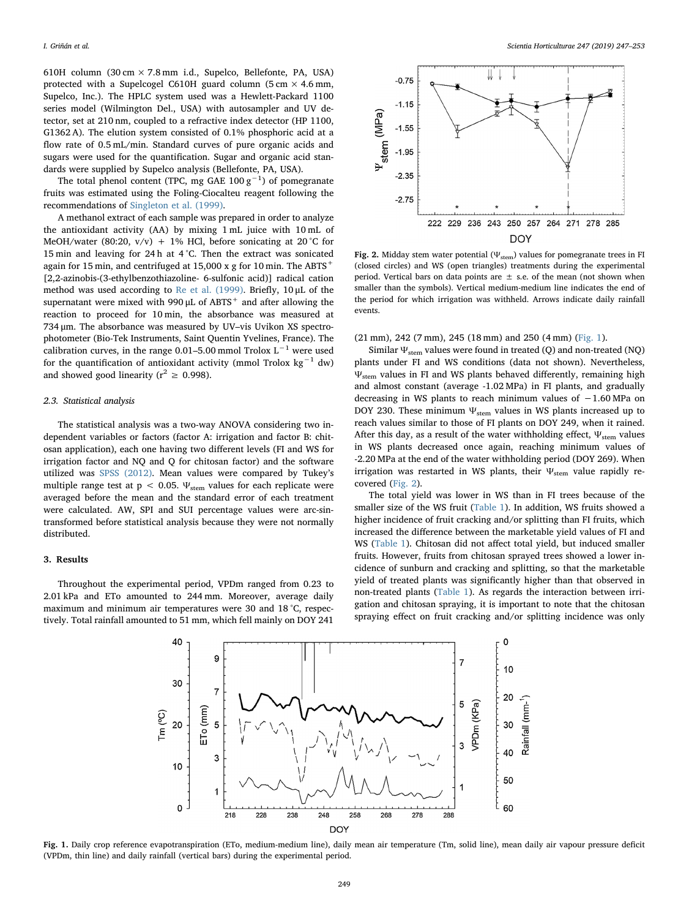610H column (30 cm  $\times$  7.8 mm i.d., Supelco, Bellefonte, PA, USA) protected with a Supelcogel C610H guard column (5 cm  $\times$  4.6 mm, Supelco, Inc.). The HPLC system used was a Hewlett-Packard 1100 series model (Wilmington Del., USA) with autosampler and UV detector, set at 210 nm, coupled to a refractive index detector (HP 1100, G1362 A). The elution system consisted of 0.1% phosphoric acid at a flow rate of 0.5 mL/min. Standard curves of pure organic acids and sugars were used for the quantification. Sugar and organic acid standards were supplied by Supelco analysis (Bellefonte, PA, USA).

The total phenol content (TPC, mg GAE  $100\,\mathrm{g}^{-1}$ ) of pomegranate fruits was estimated using the Foling-Ciocalteu reagent following the recommendations of [Singleton et al. \(1999\).](#page-6-8)

A methanol extract of each sample was prepared in order to analyze the antioxidant activity (AA) by mixing 1 mL juice with 10 mL of MeOH/water (80:20,  $v/v$ ) + 1% HCl, before sonicating at 20 °C for 15 min and leaving for 24 h at 4 °C. Then the extract was sonicated again for 15 min, and centrifuged at 15,000 x g for 10 min. The ABTS<sup>+</sup> [2,2-azinobis-(3-ethylbenzothiazoline- 6-sulfonic acid)] radical cation method was used according to [Re et al. \(1999\)](#page-5-22). Briefly, 10 μL of the supernatant were mixed with 990  $\mu$ L of ABTS<sup>+</sup> and after allowing the reaction to proceed for 10 min, the absorbance was measured at 734 μm. The absorbance was measured by UV–vis Uvikon XS spectrophotometer (Bio-Tek Instruments, Saint Quentin Yvelines, France). The calibration curves, in the range 0.01–5.00 mmol Trolox  $L^{-1}$  were used for the quantification of antioxidant activity (mmol Trolox kg<sup>-1</sup> dw) and showed good linearity ( $r^2 \ge 0.998$ ).

### 2.3. Statistical analysis

The statistical analysis was a two-way ANOVA considering two independent variables or factors (factor A: irrigation and factor B: chitosan application), each one having two different levels (FI and WS for irrigation factor and NQ and Q for chitosan factor) and the software utilized was [SPSS \(2012\)](#page-6-9). Mean values were compared by Tukey's multiple range test at  $p < 0.05$ .  $\Psi_{stem}$  values for each replicate were averaged before the mean and the standard error of each treatment were calculated. AW, SPI and SUI percentage values were arc-sintransformed before statistical analysis because they were not normally distributed.

#### 3. Results

<span id="page-2-0"></span>Throughout the experimental period, VPDm ranged from 0.23 to 2.01 kPa and ETo amounted to 244 mm. Moreover, average daily maximum and minimum air temperatures were 30 and 18 °C, respectively. Total rainfall amounted to 51 mm, which fell mainly on DOY 241

<span id="page-2-1"></span>

Fig. 2. Midday stem water potential ( $\Psi$ <sub>stem</sub>) values for pomegranate trees in FI (closed circles) and WS (open triangles) treatments during the experimental period. Vertical bars on data points are  $\pm$  s.e. of the mean (not shown when smaller than the symbols). Vertical medium-medium line indicates the end of the period for which irrigation was withheld. Arrows indicate daily rainfall events.

(21 mm), 242 (7 mm), 245 (18 mm) and 250 (4 mm) [\(Fig. 1](#page-2-0)).

Similar  $\Psi_{\rm stem}$  values were found in treated (Q) and non-treated (NQ) plants under FI and WS conditions (data not shown). Nevertheless, Ψstem values in FI and WS plants behaved differently, remaining high and almost constant (average -1.02 MPa) in FI plants, and gradually decreasing in WS plants to reach minimum values of −1.60 MPa on DOY 230. These minimum  $\Psi_{stem}$  values in WS plants increased up to reach values similar to those of FI plants on DOY 249, when it rained. After this day, as a result of the water withholding effect,  $\Psi_{\text{stem}}$  values in WS plants decreased once again, reaching minimum values of -2.20 MPa at the end of the water withholding period (DOY 269). When irrigation was restarted in WS plants, their  $\Psi_{\text{stem}}$  value rapidly recovered ([Fig. 2](#page-2-1)).

The total yield was lower in WS than in FI trees because of the smaller size of the WS fruit ([Table 1\)](#page-3-0). In addition, WS fruits showed a higher incidence of fruit cracking and/or splitting than FI fruits, which increased the difference between the marketable yield values of FI and WS [\(Table 1](#page-3-0)). Chitosan did not affect total yield, but induced smaller fruits. However, fruits from chitosan sprayed trees showed a lower incidence of sunburn and cracking and splitting, so that the marketable yield of treated plants was significantly higher than that observed in non-treated plants [\(Table 1](#page-3-0)). As regards the interaction between irrigation and chitosan spraying, it is important to note that the chitosan spraying effect on fruit cracking and/or splitting incidence was only



Fig. 1. Daily crop reference evapotranspiration (ETo, medium-medium line), daily mean air temperature (Tm, solid line), mean daily air vapour pressure deficit (VPDm, thin line) and daily rainfall (vertical bars) during the experimental period.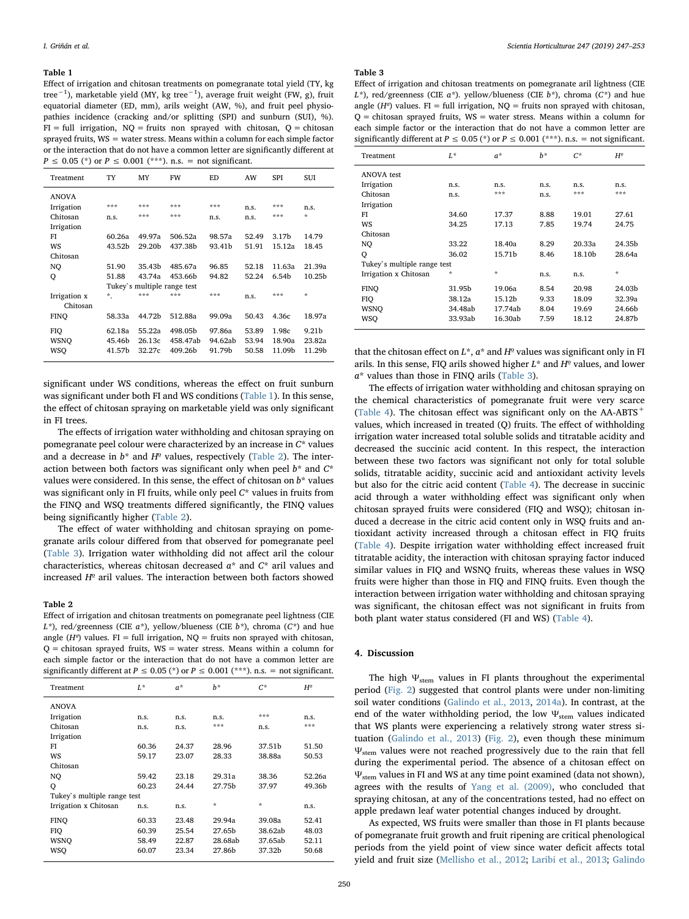#### <span id="page-3-0"></span>Table 1

Effect of irrigation and chitosan treatments on pomegranate total yield (TY, kg tree<sup>−1</sup>), marketable yield (MY, kg tree<sup>−1</sup>), average fruit weight (FW, g), fruit equatorial diameter (ED, mm), arils weight (AW, %), and fruit peel physiopathies incidence (cracking and/or splitting (SPI) and sunburn (SUI), %).  $FI = full$  irrigation,  $NQ =$  fruits non sprayed with chitosan,  $Q =$  chitosan sprayed fruits,  $WS = water$  stress. Means within a column for each simple factor or the interaction that do not have a common letter are significantly different at  $P \le 0.05$  (\*) or  $P \le 0.001$  (\*\*\*). n.s. = not significant.

| Treatment    | TY                          | MY                 | FW       | <b>ED</b> | AW    | <b>SPI</b>        | SUI               |  |
|--------------|-----------------------------|--------------------|----------|-----------|-------|-------------------|-------------------|--|
| <b>ANOVA</b> |                             |                    |          |           |       |                   |                   |  |
| Irrigation   | ***                         | ***                | ***      | ***       | n.s.  | ***               | n.s.              |  |
| Chitosan     | n.s.                        | ***                | ***      | n.s.      | n.s.  | ***               | $\star$           |  |
| Irrigation   |                             |                    |          |           |       |                   |                   |  |
| FI           | 60.26a                      | 49.97a             | 506.52a  | 98.57a    | 52.49 | 3.17 <sub>b</sub> | 14.79             |  |
| WS           | 43.52b                      | 29.20 <sub>b</sub> | 437.38b  | 93.41b    | 51.91 | 15.12a            | 18.45             |  |
| Chitosan     |                             |                    |          |           |       |                   |                   |  |
| NO           | 51.90                       | 35.43b             | 485.67a  | 96.85     | 52.18 | 11.63a            | 21.39a            |  |
| Q            | 51.88                       | 43.74a             | 453.66b  | 94.82     | 52.24 | 6.54b             | 10.25b            |  |
|              | Tukey's multiple range test |                    |          |           |       |                   |                   |  |
| Irrigation x | $\star$                     | ***                | ***      | ***       | n.s.  | ***               | $\Phi$            |  |
| Chitosan     |                             |                    |          |           |       |                   |                   |  |
| FINO         | 58.33a                      | 44.72b             | 512.88a  | 99.09a    | 50.43 | 4.36с             | 18.97a            |  |
| <b>FIQ</b>   | 62.18a                      | 55.22a             | 498.05b  | 97.86a    | 53.89 | 1.98c             | 9.21 <sub>b</sub> |  |
| WSNO         | 45.46b                      | 26.13c             | 458.47ab | 94.62ab   | 53.94 | 18.90a            | 23.82a            |  |
| WSO          | 41.57b                      | 32.27c             | 409.26b  | 91.79b    | 50.58 | 11.09b            | 11.29b            |  |
|              |                             |                    |          |           |       |                   |                   |  |

significant under WS conditions, whereas the effect on fruit sunburn was significant under both FI and WS conditions ([Table 1\)](#page-3-0). In this sense, the effect of chitosan spraying on marketable yield was only significant in FI trees.

The effects of irrigation water withholding and chitosan spraying on pomegranate peel colour were characterized by an increase in C\* values and a decrease in  $b^*$  and  $H^{\circ}$  values, respectively ([Table 2\)](#page-3-1). The interaction between both factors was significant only when peel  $b^*$  and  $C^*$ values were considered. In this sense, the effect of chitosan on  $b^*$  values was significant only in FI fruits, while only peel  $C^*$  values in fruits from the FINQ and WSQ treatments differed significantly, the FINQ values being significantly higher [\(Table 2\)](#page-3-1).

The effect of water withholding and chitosan spraying on pomegranate arils colour differed from that observed for pomegranate peel ([Table 3](#page-3-2)). Irrigation water withholding did not affect aril the colour characteristics, whereas chitosan decreased  $a^*$  and  $C^*$  aril values and increased  $H^{\circ}$  aril values. The interaction between both factors showed

# <span id="page-3-1"></span>Table 2

Effect of irrigation and chitosan treatments on pomegranate peel lightness (CIE  $L^*$ ), red/greenness (CIE  $a^*$ ), yellow/blueness (CIE  $b^*$ ), chroma (C\*) and hue angle ( $H^{\circ}$ ) values. FI = full irrigation, NQ = fruits non sprayed with chitosan,  $Q =$  chitosan sprayed fruits,  $WS =$  water stress. Means within a column for each simple factor or the interaction that do not have a common letter are significantly different at  $P \le 0.05$  (\*) or  $P \le 0.001$  (\*\*\*). n.s. = not significant.

| Treatment                   | $L^*$ | $a^*$ | $h^*$   | $C^*$         | $H^{\varrho}$ |  |  |  |
|-----------------------------|-------|-------|---------|---------------|---------------|--|--|--|
| <b>ANOVA</b>                |       |       |         |               |               |  |  |  |
| Irrigation                  | n.s.  | n.s.  | n.s.    | ***           | n.s.          |  |  |  |
| Chitosan                    | n.s.  | n.s.  | ***     | n.s.          | ***           |  |  |  |
| Irrigation                  |       |       |         |               |               |  |  |  |
| FI                          | 60.36 | 24.37 | 28.96   | 37.51b        | 51.50         |  |  |  |
| WS                          | 59.17 | 23.07 | 28.33   | 38.88a        | 50.53         |  |  |  |
| Chitosan                    |       |       |         |               |               |  |  |  |
| NO                          | 59.42 | 23.18 | 29.31a  | 38.36         | 52.26a        |  |  |  |
| Q                           | 60.23 | 24.44 | 27.75b  | 37.97         | 49.36b        |  |  |  |
| Tukey's multiple range test |       |       |         |               |               |  |  |  |
| Irrigation x Chitosan       | n.s.  | n.s.  | $\star$ | $\mathcal{R}$ | n.s.          |  |  |  |
| <b>FINO</b>                 | 60.33 | 23.48 | 29.94a  | 39.08a        | 52.41         |  |  |  |
| <b>FIQ</b>                  | 60.39 | 25.54 | 27.65b  | 38.62ab       | 48.03         |  |  |  |
| WSNO                        | 58.49 | 22.87 | 28.68ab | 37.65ab       | 52.11         |  |  |  |
| WSO                         | 60.07 | 23.34 | 27.86b  | 37.32b        | 50.68         |  |  |  |

#### <span id="page-3-2"></span>Table 3

Effect of irrigation and chitosan treatments on pomegranate aril lightness (CIE  $L^*$ ), red/greenness (CIE  $a^*$ ). yellow/blueness (CIE  $b^*$ ), chroma (C<sup>\*</sup>) and hue angle ( $H^{\circ}$ ) values. FI = full irrigation, NQ = fruits non sprayed with chitosan,  $Q =$  chitosan sprayed fruits,  $WS =$  water stress. Means within a column for each simple factor or the interaction that do not have a common letter are significantly different at  $P \le 0.05$  (\*) or  $P \le 0.001$  (\*\*\*). n.s. = not significant.

| Treatment                   | $L^*$   | $a^*$   | $h^*$ | $C^*$  | $H^{\varrho}$                     |  |  |  |
|-----------------------------|---------|---------|-------|--------|-----------------------------------|--|--|--|
| <b>ANOVA</b> test           |         |         |       |        |                                   |  |  |  |
| Irrigation                  | n.s.    | n.s.    | n.s.  | n.s.   | n.s.                              |  |  |  |
| Chitosan                    | n.s.    | ***     | n.s.  | ***    | ***                               |  |  |  |
| Irrigation                  |         |         |       |        |                                   |  |  |  |
| FI                          | 34.60   | 17.37   | 8.88  | 19.01  | 27.61                             |  |  |  |
| WS                          | 34.25   | 17.13   | 7.85  | 19.74  | 24.75                             |  |  |  |
| Chitosan                    |         |         |       |        |                                   |  |  |  |
| NQ                          | 33.22   | 18.40a  | 8.29  | 20.33a | 24.35b                            |  |  |  |
| Q                           | 36.02   | 15.71b  | 8.46  | 18.10b | 28.64a                            |  |  |  |
| Tukey's multiple range test |         |         |       |        |                                   |  |  |  |
| Irrigation x Chitosan       | ÷       | $\star$ | n.s.  | n.s.   | $\frac{d\mathbf{r}}{d\mathbf{x}}$ |  |  |  |
| FINO                        | 31.95b  | 19.06a  | 8.54  | 20.98  | 24.03b                            |  |  |  |
| FIQ                         | 38.12a  | 15.12b  | 9.33  | 18.09  | 32.39a                            |  |  |  |
| WSNO                        | 34.48ab | 17.74ab | 8.04  | 19.69  | 24.66b                            |  |  |  |
| <b>WSO</b>                  | 33.93ab | 16.30ab | 7.59  | 18.12  | 24.87b                            |  |  |  |

that the chitosan effect on  $L^*$ ,  $a^*$  and  $H^2$  values was significant only in FI arils. In this sense, FIQ arils showed higher  $L^*$  and  $H^2$  values, and lower a\* values than those in FINQ arils ([Table 3](#page-3-2)).

The effects of irrigation water withholding and chitosan spraying on the chemical characteristics of pomegranate fruit were very scarce ([Table 4\)](#page-4-0). The chitosan effect was significant only on the  $AA-ABTS^+$ values, which increased in treated (Q) fruits. The effect of withholding irrigation water increased total soluble solids and titratable acidity and decreased the succinic acid content. In this respect, the interaction between these two factors was significant not only for total soluble solids, titratable acidity, succinic acid and antioxidant activity levels but also for the citric acid content ([Table 4](#page-4-0)). The decrease in succinic acid through a water withholding effect was significant only when chitosan sprayed fruits were considered (FIQ and WSQ); chitosan induced a decrease in the citric acid content only in WSQ fruits and antioxidant activity increased through a chitosan effect in FIQ fruits ([Table 4](#page-4-0)). Despite irrigation water withholding effect increased fruit titratable acidity, the interaction with chitosan spraying factor induced similar values in FIQ and WSNQ fruits, whereas these values in WSQ fruits were higher than those in FIQ and FINQ fruits. Even though the interaction between irrigation water withholding and chitosan spraying was significant, the chitosan effect was not significant in fruits from both plant water status considered (FI and WS) [\(Table 4\)](#page-4-0).

# 4. Discussion

The high  $\Psi_{stem}$  values in FI plants throughout the experimental period ([Fig. 2](#page-2-1)) suggested that control plants were under non-limiting soil water conditions ([Galindo et al., 2013,](#page-5-23) [2014a\)](#page-5-24). In contrast, at the end of the water withholding period, the low  $\Psi_{\text{stem}}$  values indicated that WS plants were experiencing a relatively strong water stress situation ([Galindo et al., 2013\)](#page-5-23) [\(Fig. 2\)](#page-2-1), even though these minimum  $\Psi_{\text{stem}}$  values were not reached progressively due to the rain that fell during the experimental period. The absence of a chitosan effect on  $\Psi_{\text{stem}}$  values in FI and WS at any time point examined (data not shown), agrees with the results of [Yang et al. \(2009\)](#page-6-5), who concluded that spraying chitosan, at any of the concentrations tested, had no effect on apple predawn leaf water potential changes induced by drought.

As expected, WS fruits were smaller than those in FI plants because of pomegranate fruit growth and fruit ripening are critical phenological periods from the yield point of view since water deficit affects total yield and fruit size [\(Mellisho et al., 2012;](#page-5-25) [Laribi et al., 2013;](#page-5-26) [Galindo](#page-5-27)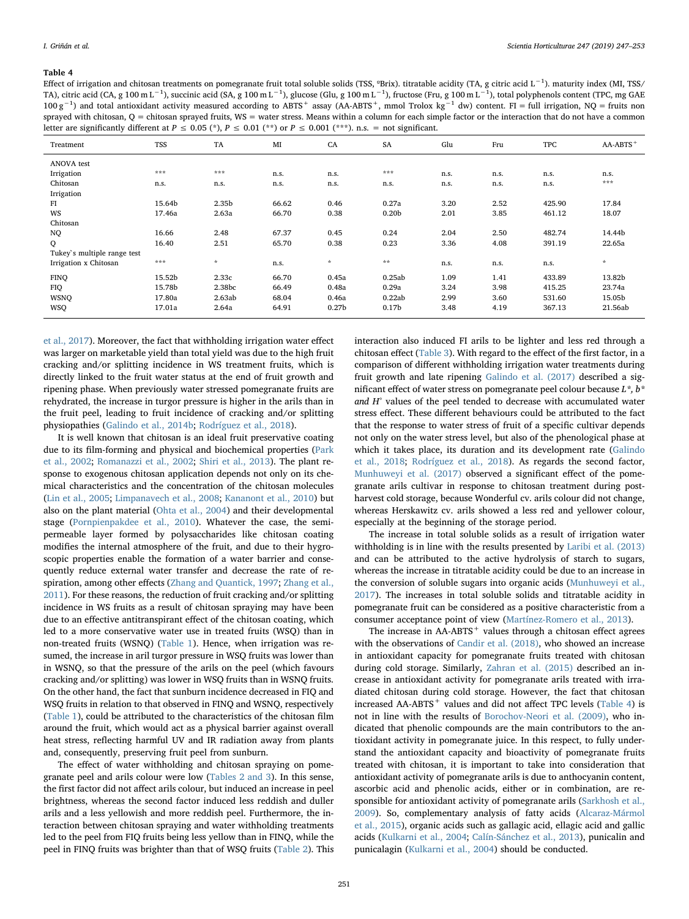#### <span id="page-4-0"></span>Table 4

Effect of irrigation and chitosan treatments on pomegranate fruit total soluble solids (TSS, ºBrix). titratable acidity (TA, g citric acid L−<sup>1</sup> ). maturity index (MI, TSS/ TA), citric acid (CA, g 100 m L<sup>−1</sup>), succinic acid (SA, g 100 m L<sup>−1</sup>), glucose (Glu, g 100 m L<sup>−1</sup>), fructose (Fru, g 100 m L<sup>−1</sup>), total polyphenols content (TPC, mg GAE  $100 \text{ g}^{-1}$ ) and total antioxidant activity measured according to ABTS<sup>+</sup> assay (AA-ABTS<sup>+</sup>, mmol Trolox kg<sup>-1</sup> dw) content. FI = full irrigation, NQ = fruits non sprayed with chitosan,  $Q =$  chitosan sprayed fruits,  $WS =$  water stress. Means within a column for each simple factor or the interaction that do not have a common letter are significantly different at  $P \le 0.05$  (\*),  $P \le 0.01$  (\*\*) or  $P \le 0.001$  (\*\*\*). n.s. = not significant.

| Treatment                   | <b>TSS</b> | TA            | MI    | CA                | SA                | Glu  | Fru  | <b>TPC</b> | $AA-ABTS$ <sup>+</sup> |
|-----------------------------|------------|---------------|-------|-------------------|-------------------|------|------|------------|------------------------|
| ANOVA test                  |            |               |       |                   |                   |      |      |            |                        |
| Irrigation                  | ***        | ***           | n.s.  | n.s.              | ***               | n.s. | n.s. | n.s.       | n.s.                   |
| Chitosan                    | n.s.       | n.s.          | n.s.  | n.s.              | n.s.              | n.s. | n.s. | n.s.       | ***                    |
| Irrigation                  |            |               |       |                   |                   |      |      |            |                        |
| FI                          | 15.64b     | 2.35b         | 66.62 | 0.46              | 0.27a             | 3.20 | 2.52 | 425.90     | 17.84                  |
| WS                          | 17.46a     | 2.63a         | 66.70 | 0.38              | 0.20 <sub>b</sub> | 2.01 | 3.85 | 461.12     | 18.07                  |
| Chitosan                    |            |               |       |                   |                   |      |      |            |                        |
| NQ.                         | 16.66      | 2.48          | 67.37 | 0.45              | 0.24              | 2.04 | 2.50 | 482.74     | 14.44b                 |
| $\mathsf{Q}$                | 16.40      | 2.51          | 65.70 | 0.38              | 0.23              | 3.36 | 4.08 | 391.19     | 22.65a                 |
| Tukey's multiple range test |            |               |       |                   |                   |      |      |            |                        |
| Irrigation x Chitosan       | $* * *$    | $\mathcal{R}$ | n.s.  | $\dot{\pi}$       | $\star\star$      | n.s. | n.s. | n.s.       | $\star$                |
| <b>FINQ</b>                 | 15.52b     | 2.33c         | 66.70 | 0.45a             | 0.25ab            | 1.09 | 1.41 | 433.89     | 13.82b                 |
| FIQ                         | 15.78b     | 2.38bc        | 66.49 | 0.48a             | 0.29a             | 3.24 | 3.98 | 415.25     | 23.74a                 |
| <b>WSNQ</b>                 | 17.80a     | 2.63ab        | 68.04 | 0.46a             | 0.22ab            | 2.99 | 3.60 | 531.60     | 15.05b                 |
| <b>WSQ</b>                  | 17.01a     | 2.64a         | 64.91 | 0.27 <sub>b</sub> | 0.17 <sub>b</sub> | 3.48 | 4.19 | 367.13     | 21.56ab                |

[et al., 2017](#page-5-27)). Moreover, the fact that withholding irrigation water effect was larger on marketable yield than total yield was due to the high fruit cracking and/or splitting incidence in WS treatment fruits, which is directly linked to the fruit water status at the end of fruit growth and ripening phase. When previously water stressed pomegranate fruits are rehydrated, the increase in turgor pressure is higher in the arils than in the fruit peel, leading to fruit incidence of cracking and/or splitting physiopathies ([Galindo et al., 2014b](#page-5-9); [Rodríguez et al., 2018](#page-6-2)).

It is well known that chitosan is an ideal fruit preservative coating due to its film-forming and physical and biochemical properties ([Park](#page-5-28) [et al., 2002](#page-5-28); [Romanazzi et al., 2002](#page-6-10); [Shiri et al., 2013\)](#page-6-7). The plant response to exogenous chitosan application depends not only on its chemical characteristics and the concentration of the chitosan molecules ([Lin et al., 2005;](#page-5-29) [Limpanavech et al., 2008;](#page-5-30) [Kananont et al., 2010](#page-5-31)) but also on the plant material [\(Ohta et al., 2004\)](#page-5-32) and their developmental stage [\(Pornpienpakdee et al., 2010\)](#page-5-33). Whatever the case, the semipermeable layer formed by polysaccharides like chitosan coating modifies the internal atmosphere of the fruit, and due to their hygroscopic properties enable the formation of a water barrier and consequently reduce external water transfer and decrease the rate of respiration, among other effects [\(Zhang and Quantick, 1997;](#page-6-11) [Zhang et al.,](#page-6-12) [2011\)](#page-6-12). For these reasons, the reduction of fruit cracking and/or splitting incidence in WS fruits as a result of chitosan spraying may have been due to an effective antitranspirant effect of the chitosan coating, which led to a more conservative water use in treated fruits (WSQ) than in non-treated fruits (WSNQ) [\(Table 1\)](#page-3-0). Hence, when irrigation was resumed, the increase in aril turgor pressure in WSQ fruits was lower than in WSNQ, so that the pressure of the arils on the peel (which favours cracking and/or splitting) was lower in WSQ fruits than in WSNQ fruits. On the other hand, the fact that sunburn incidence decreased in FIQ and WSQ fruits in relation to that observed in FINQ and WSNQ, respectively ([Table 1\)](#page-3-0), could be attributed to the characteristics of the chitosan film around the fruit, which would act as a physical barrier against overall heat stress, reflecting harmful UV and IR radiation away from plants and, consequently, preserving fruit peel from sunburn.

The effect of water withholding and chitosan spraying on pomegranate peel and arils colour were low [\(Tables 2 and 3](#page-3-1)). In this sense, the first factor did not affect arils colour, but induced an increase in peel brightness, whereas the second factor induced less reddish and duller arils and a less yellowish and more reddish peel. Furthermore, the interaction between chitosan spraying and water withholding treatments led to the peel from FIQ fruits being less yellow than in FINQ, while the peel in FINQ fruits was brighter than that of WSQ fruits ([Table 2](#page-3-1)). This interaction also induced FI arils to be lighter and less red through a chitosan effect [\(Table](#page-3-2) 3). With regard to the effect of the first factor, in a comparison of different withholding irrigation water treatments during fruit growth and late ripening [Galindo et al. \(2017\)](#page-5-27) described a significant effect of water stress on pomegranate peel colour because  $L^*, b^*$ and H° values of the peel tended to decrease with accumulated water stress effect. These different behaviours could be attributed to the fact that the response to water stress of fruit of a specific cultivar depends not only on the water stress level, but also of the phenological phase at which it takes place, its duration and its development rate ([Galindo](#page-5-34) [et al., 2018](#page-5-34); [Rodríguez et al., 2018\)](#page-6-2). As regards the second factor, [Munhuweyi et al. \(2017\)](#page-5-35) observed a significant effect of the pomegranate arils cultivar in response to chitosan treatment during postharvest cold storage, because Wonderful cv. arils colour did not change, whereas Herskawitz cv. arils showed a less red and yellower colour, especially at the beginning of the storage period.

The increase in total soluble solids as a result of irrigation water withholding is in line with the results presented by [Laribi et al. \(2013\)](#page-5-26) and can be attributed to the active hydrolysis of starch to sugars, whereas the increase in titratable acidity could be due to an increase in the conversion of soluble sugars into organic acids ([Munhuweyi et al.,](#page-5-35) [2017\)](#page-5-35). The increases in total soluble solids and titratable acidity in pomegranate fruit can be considered as a positive characteristic from a consumer acceptance point of view ([Martínez-Romero et al., 2013\)](#page-5-36).

The increase in  $AA-ABTS$ <sup>+</sup> values through a chitosan effect agrees with the observations of [Candir et al. \(2018\),](#page-5-37) who showed an increase in antioxidant capacity for pomegranate fruits treated with chitosan during cold storage. Similarly, [Zahran et al. \(2015\)](#page-6-13) described an increase in antioxidant activity for pomegranate arils treated with irradiated chitosan during cold storage. However, the fact that chitosan increased  $AA-ABTS$ <sup>+</sup> values and did not affect TPC levels [\(Table 4](#page-4-0)) is not in line with the results of [Borochov-Neori et al. \(2009\)](#page-5-38), who indicated that phenolic compounds are the main contributors to the antioxidant activity in pomegranate juice. In this respect, to fully understand the antioxidant capacity and bioactivity of pomegranate fruits treated with chitosan, it is important to take into consideration that antioxidant activity of pomegranate arils is due to anthocyanin content, ascorbic acid and phenolic acids, either or in combination, are responsible for antioxidant activity of pomegranate arils [\(Sarkhosh et al.,](#page-6-14) [2009\)](#page-6-14). So, complementary analysis of fatty acids [\(Alcaraz-Mármol](#page-5-39) [et al., 2015\)](#page-5-39), organic acids such as gallagic acid, ellagic acid and gallic acids [\(Kulkarni et al., 2004;](#page-5-40) [Calín-Sánchez et al., 2013](#page-5-41)), punicalin and punicalagin [\(Kulkarni et al., 2004](#page-5-40)) should be conducted.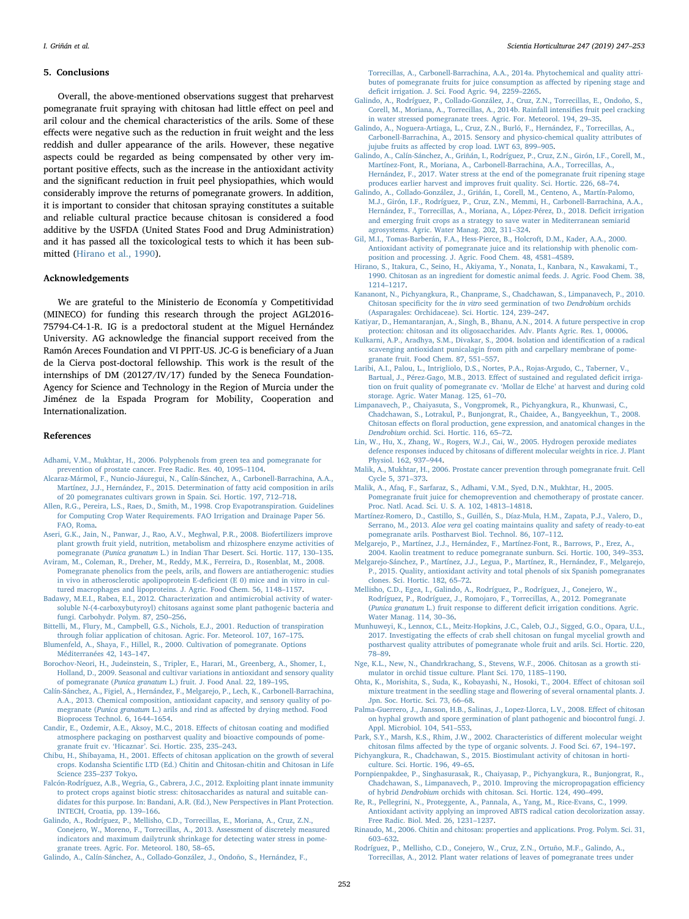#### 5. Conclusions

Overall, the above-mentioned observations suggest that preharvest pomegranate fruit spraying with chitosan had little effect on peel and aril colour and the chemical characteristics of the arils. Some of these effects were negative such as the reduction in fruit weight and the less reddish and duller appearance of the arils. However, these negative aspects could be regarded as being compensated by other very important positive effects, such as the increase in the antioxidant activity and the significant reduction in fruit peel physiopathies, which would considerably improve the returns of pomegranate growers. In addition, it is important to consider that chitosan spraying constitutes a suitable and reliable cultural practice because chitosan is considered a food additive by the USFDA (United States Food and Drug Administration) and it has passed all the toxicological tests to which it has been submitted [\(Hirano et al., 1990](#page-5-42)).

#### Acknowledgements

We are grateful to the Ministerio de Economía y Competitividad (MINECO) for funding this research through the project AGL2016- 75794-C4-1-R. IG is a predoctoral student at the Miguel Hernández University. AG acknowledge the financial support received from the Ramón Areces Foundation and VI PPIT-US. JC-G is beneficiary of a Juan de la Cierva post-doctoral fellowship. This work is the result of the internships of DM (20127/IV/17) funded by the Seneca Foundation-Agency for Science and Technology in the Region of Murcia under the Jiménez de la Espada Program for Mobility, Cooperation and Internationalization.

#### References

- <span id="page-5-7"></span>[Adhami, V.M., Mukhtar, H., 2006. Polyphenols from green tea and pomegranate for](http://refhub.elsevier.com/S0304-4238(18)30889-6/sbref0005) [prevention of prostate cancer. Free Radic. Res. 40, 1095](http://refhub.elsevier.com/S0304-4238(18)30889-6/sbref0005)–1104.
- <span id="page-5-39"></span>[Alcaraz-Mármol, F., Nuncio-Jáuregui, N., Calín-Sánchez, A., Carbonell-Barrachina, A.A.,](http://refhub.elsevier.com/S0304-4238(18)30889-6/sbref0010) [Martínez, J.J., Hernández, F., 2015. Determination of fatty acid composition in arils](http://refhub.elsevier.com/S0304-4238(18)30889-6/sbref0010) [of 20 pomegranates cultivars grown in Spain. Sci. Hortic. 197, 712](http://refhub.elsevier.com/S0304-4238(18)30889-6/sbref0010)–718.
- <span id="page-5-19"></span>[Allen, R.G., Pereira, L.S., Raes, D., Smith, M., 1998. Crop Evapotranspiration. Guidelines](http://refhub.elsevier.com/S0304-4238(18)30889-6/sbref0015) [for Computing Crop Water Requirements. FAO Irrigation and Drainage Paper 56.](http://refhub.elsevier.com/S0304-4238(18)30889-6/sbref0015) [FAO, Roma](http://refhub.elsevier.com/S0304-4238(18)30889-6/sbref0015).
- <span id="page-5-2"></span>[Aseri, G.K., Jain, N., Panwar, J., Rao, A.V., Meghwal, P.R., 2008. Biofertilizers improve](http://refhub.elsevier.com/S0304-4238(18)30889-6/sbref0020) [plant growth fruit yield, nutrition, metabolism and rhizosphere enzyme activities of](http://refhub.elsevier.com/S0304-4238(18)30889-6/sbref0020) pomegranate (Punica granatum [L.\) in Indian Thar Desert. Sci. Hortic. 117, 130](http://refhub.elsevier.com/S0304-4238(18)30889-6/sbref0020)–135.
- <span id="page-5-3"></span>[Aviram, M., Coleman, R., Dreher, M., Reddy, M.K., Ferreira, D., Rosenblat, M., 2008.](http://refhub.elsevier.com/S0304-4238(18)30889-6/sbref0025) [Pomegranate phenolics from the peels, arils, and](http://refhub.elsevier.com/S0304-4238(18)30889-6/sbref0025) flowers are antiatherogenic: studies [in vivo in atherosclerotic apolipoprotein E-de](http://refhub.elsevier.com/S0304-4238(18)30889-6/sbref0025)ficient (E 0) mice and in vitro in cul[tured macrophages and lipoproteins. J. Agric. Food Chem. 56, 1148](http://refhub.elsevier.com/S0304-4238(18)30889-6/sbref0025)–1157.
- <span id="page-5-15"></span>[Badawy, M.E.I., Rabea, E.I., 2012. Characterization and antimicrobial activity of water](http://refhub.elsevier.com/S0304-4238(18)30889-6/sbref0030)[soluble N-\(4-carboxybutyroyl\) chitosans against some plant pathogenic bacteria and](http://refhub.elsevier.com/S0304-4238(18)30889-6/sbref0030) [fungi. Carbohydr. Polym. 87, 250](http://refhub.elsevier.com/S0304-4238(18)30889-6/sbref0030)–256.
- <span id="page-5-18"></span>[Bittelli, M., Flury, M., Campbell, G.S., Nichols, E.J., 2001. Reduction of transpiration](http://refhub.elsevier.com/S0304-4238(18)30889-6/sbref0035) [through foliar application of chitosan. Agric. For. Meteorol. 107, 167](http://refhub.elsevier.com/S0304-4238(18)30889-6/sbref0035)–175.
- <span id="page-5-0"></span>[Blumenfeld, A., Shaya, F., Hillel, R., 2000. Cultivation of pomegranate. Options](http://refhub.elsevier.com/S0304-4238(18)30889-6/sbref0040) [Méditerranées 42, 143](http://refhub.elsevier.com/S0304-4238(18)30889-6/sbref0040)–147.
- <span id="page-5-38"></span>[Borochov-Neori, H., Judeinstein, S., Tripler, E., Harari, M., Greenberg, A., Shomer, I.,](http://refhub.elsevier.com/S0304-4238(18)30889-6/sbref0045) [Holland, D., 2009. Seasonal and cultivar variations in antioxidant and sensory quality](http://refhub.elsevier.com/S0304-4238(18)30889-6/sbref0045) of pomegranate (Punica granatum [L.\) fruit. J. Food Anal. 22, 189](http://refhub.elsevier.com/S0304-4238(18)30889-6/sbref0045)–195.
- <span id="page-5-41"></span>[Calín-Sánchez, A., Figiel, A., Hernández, F., Melgarejo, P., Lech, K., Carbonell-Barrachina,](http://refhub.elsevier.com/S0304-4238(18)30889-6/sbref0050) [A.A., 2013. Chemical composition, antioxidant capacity, and sensory quality of po](http://refhub.elsevier.com/S0304-4238(18)30889-6/sbref0050)megranate (Punica granatum L.) arils and rind as aff[ected by drying method. Food](http://refhub.elsevier.com/S0304-4238(18)30889-6/sbref0050) [Bioprocess Technol. 6, 1644](http://refhub.elsevier.com/S0304-4238(18)30889-6/sbref0050)–1654.
- <span id="page-5-37"></span>[Candir, E., Ozdemir, A.E., Aksoy, M.C., 2018. E](http://refhub.elsevier.com/S0304-4238(18)30889-6/sbref0055)ffects of chitosan coating and modified [atmosphere packaging on postharvest quality and bioactive compounds of pome](http://refhub.elsevier.com/S0304-4238(18)30889-6/sbref0055)granate fruit cv. 'Hicaznar'[. Sci. Hortic. 235, 235](http://refhub.elsevier.com/S0304-4238(18)30889-6/sbref0055)–243.
- <span id="page-5-16"></span>Chibu, H., Shibayama, H., 2001. Eff[ects of chitosan application on the growth of several](http://refhub.elsevier.com/S0304-4238(18)30889-6/sbref0060) crops. Kodansha Scientifi[c LTD \(Ed.\) Chitin and Chitosan-chitin and Chitosan in Life](http://refhub.elsevier.com/S0304-4238(18)30889-6/sbref0060) [Science 235](http://refhub.elsevier.com/S0304-4238(18)30889-6/sbref0060)–237 Tokyo.
- <span id="page-5-13"></span>[Falcón-Rodríguez, A.B., Wegria, G., Cabrera, J.C., 2012. Exploiting plant innate immunity](http://refhub.elsevier.com/S0304-4238(18)30889-6/sbref0065) [to protect crops against biotic stress: chitosaccharides as natural and suitable can](http://refhub.elsevier.com/S0304-4238(18)30889-6/sbref0065)[didates for this purpose. In: Bandani, A.R. \(Ed.\), New Perspectives in Plant Protection.](http://refhub.elsevier.com/S0304-4238(18)30889-6/sbref0065) [INTECH, Croatia, pp. 139](http://refhub.elsevier.com/S0304-4238(18)30889-6/sbref0065)–166.
- <span id="page-5-23"></span>[Galindo, A., Rodríguez, P., Mellisho, C.D., Torrecillas, E., Moriana, A., Cruz, Z.N.,](http://refhub.elsevier.com/S0304-4238(18)30889-6/sbref0070) [Conejero, W., Moreno, F., Torrecillas, A., 2013. Assessment of discretely measured](http://refhub.elsevier.com/S0304-4238(18)30889-6/sbref0070) [indicators and maximum dailytrunk shrinkage for detecting water stress in pome](http://refhub.elsevier.com/S0304-4238(18)30889-6/sbref0070)granate [trees. Agric. For. Meteorol. 180, 58](http://refhub.elsevier.com/S0304-4238(18)30889-6/sbref0070)–65.

<span id="page-5-24"></span>[Galindo, A., Calín-Sánchez, A., Collado-González, J., Ondoño, S., Hernández, F.,](http://refhub.elsevier.com/S0304-4238(18)30889-6/sbref0075)

[Torrecillas, A., Carbonell-Barrachina, A.A., 2014a. Phytochemical and quality attri](http://refhub.elsevier.com/S0304-4238(18)30889-6/sbref0075)[butes of pomegranate fruits for juice consumption as a](http://refhub.elsevier.com/S0304-4238(18)30889-6/sbref0075)ffected by ripening stage and defi[cit irrigation. J. Sci. Food Agric. 94, 2259](http://refhub.elsevier.com/S0304-4238(18)30889-6/sbref0075)–2265.

- <span id="page-5-9"></span>[Galindo, A., Rodríguez, P., Collado-González, J., Cruz, Z.N., Torrecillas, E., Ondoño, S.,](http://refhub.elsevier.com/S0304-4238(18)30889-6/sbref0080) [Corell, M., Moriana, A., Torrecillas, A., 2014b. Rainfall intensi](http://refhub.elsevier.com/S0304-4238(18)30889-6/sbref0080)fies fruit peel cracking [in water stressed pomegranate trees. Agric. For. Meteorol. 194, 29](http://refhub.elsevier.com/S0304-4238(18)30889-6/sbref0080)–35.
- <span id="page-5-20"></span>[Galindo, A., Noguera-Artiaga, L., Cruz, Z.N., Burló, F., Hernández, F., Torrecillas, A.,](http://refhub.elsevier.com/S0304-4238(18)30889-6/sbref0085) [Carbonell-Barrachina, A., 2015. Sensory and physico-chemical quality attributes of](http://refhub.elsevier.com/S0304-4238(18)30889-6/sbref0085) jujube fruits as aff[ected by crop load. LWT 63, 899](http://refhub.elsevier.com/S0304-4238(18)30889-6/sbref0085)–905.
- <span id="page-5-27"></span>[Galindo, A., Calín-Sánchez, A., Griñán, I., Rodríguez, P., Cruz, Z.N., Girón, I.F., Corell, M.,](http://refhub.elsevier.com/S0304-4238(18)30889-6/sbref0090) [Martínez-Font, R., Moriana, A., Carbonell-Barrachina, A.A., Torrecillas, A.,](http://refhub.elsevier.com/S0304-4238(18)30889-6/sbref0090) [Hernández, F., 2017. Water stress at the end of the pomegranate fruit ripening stage](http://refhub.elsevier.com/S0304-4238(18)30889-6/sbref0090) [produces earlier harvest and improves fruit quality. Sci. Hortic. 226, 68](http://refhub.elsevier.com/S0304-4238(18)30889-6/sbref0090)–74.
- <span id="page-5-34"></span>[Galindo, A., Collado-González, J., Griñán, I., Corell, M., Centeno, A., Martín-Palomo,](http://refhub.elsevier.com/S0304-4238(18)30889-6/sbref0095) [M.J., Girón, I.F., Rodríguez, P., Cruz, Z.N., Memmi, H., Carbonell-Barrachina, A.A.,](http://refhub.elsevier.com/S0304-4238(18)30889-6/sbref0095) [Hernández, F., Torrecillas, A., Moriana, A., López-Pérez, D., 2018. De](http://refhub.elsevier.com/S0304-4238(18)30889-6/sbref0095)ficit irrigation [and emerging fruit crops as a strategy to save water in Mediterranean semiarid](http://refhub.elsevier.com/S0304-4238(18)30889-6/sbref0095) [agrosystems. Agric. Water Manag. 202, 311](http://refhub.elsevier.com/S0304-4238(18)30889-6/sbref0095)–324.
- <span id="page-5-4"></span>[Gil, M.I., Tomas-Barberán, F.A., Hess-Pierce, B., Holcroft, D.M., Kader, A.A., 2000.](http://refhub.elsevier.com/S0304-4238(18)30889-6/sbref0100) [Antioxidant activity of pomegranate juice and its relationship with phenolic com](http://refhub.elsevier.com/S0304-4238(18)30889-6/sbref0100)[position and processing. J. Agric. Food Chem. 48, 4581](http://refhub.elsevier.com/S0304-4238(18)30889-6/sbref0100)–4589.
- <span id="page-5-42"></span>[Hirano, S., Itakura, C., Seino, H., Akiyama, Y., Nonata, I., Kanbara, N., Kawakami, T.,](http://refhub.elsevier.com/S0304-4238(18)30889-6/sbref0105) [1990. Chitosan as an ingredient for domestic animal feeds. J. Agric. Food Chem. 38,](http://refhub.elsevier.com/S0304-4238(18)30889-6/sbref0105) 1214–[1217](http://refhub.elsevier.com/S0304-4238(18)30889-6/sbref0105).
- <span id="page-5-31"></span>[Kananont, N., Pichyangkura, R., Chanprame, S., Chadchawan, S., Limpanavech, P., 2010.](http://refhub.elsevier.com/S0304-4238(18)30889-6/sbref0110) Chitosan specificity for the in vitro [seed germination of two](http://refhub.elsevier.com/S0304-4238(18)30889-6/sbref0110) Dendrobium orchids [\(Asparagales: Orchidaceae\). Sci. Hortic. 124, 239](http://refhub.elsevier.com/S0304-4238(18)30889-6/sbref0110)–247.
- <span id="page-5-17"></span>[Katiyar, D., Hemantaranjan, A., Singh, B., Bhanu, A.N., 2014. A future perspective in crop](http://refhub.elsevier.com/S0304-4238(18)30889-6/sbref0115) [protection: chitosan and its oligosaccharides. Adv. Plants Agric. Res. 1, 00006](http://refhub.elsevier.com/S0304-4238(18)30889-6/sbref0115).
- <span id="page-5-40"></span>[Kulkarni, A.P., Aradhya, S.M., Divakar, S., 2004. Isolation and identi](http://refhub.elsevier.com/S0304-4238(18)30889-6/sbref0120)fication of a radical [scavenging antioxidant punicalagin from pith and carpellary membrane of pome](http://refhub.elsevier.com/S0304-4238(18)30889-6/sbref0120)[granate fruit. Food Chem. 87, 551](http://refhub.elsevier.com/S0304-4238(18)30889-6/sbref0120)–557.
- <span id="page-5-26"></span>[Laribi, A.I., Palou, L., Intrigliolo, D.S., Nortes, P.A., Rojas-Argudo, C., Taberner, V.,](http://refhub.elsevier.com/S0304-4238(18)30889-6/sbref0125) [Bartual, J., Pérez-Gago, M.B., 2013. E](http://refhub.elsevier.com/S0304-4238(18)30889-6/sbref0125)ffect of sustained and regulated deficit irriga[tion on fruit quality of pomegranate cv.](http://refhub.elsevier.com/S0304-4238(18)30889-6/sbref0125) 'Mollar de Elche' at harvest and during cold [storage. Agric. Water Manag. 125, 61](http://refhub.elsevier.com/S0304-4238(18)30889-6/sbref0125)–70.
- <span id="page-5-30"></span>[Limpanavech, P., Chaiyasuta, S., Vongpromek, R., Pichyangkura, R., Khunwasi, C.,](http://refhub.elsevier.com/S0304-4238(18)30889-6/sbref0130) [Chadchawan, S., Lotrakul, P., Bunjongrat, R., Chaidee, A., Bangyeekhun, T., 2008.](http://refhub.elsevier.com/S0304-4238(18)30889-6/sbref0130) Chitosan effects on floral [production, gene expression, and anatomical changes in the](http://refhub.elsevier.com/S0304-4238(18)30889-6/sbref0130) Dendrobium [orchid. Sci. Hortic. 116, 65](http://refhub.elsevier.com/S0304-4238(18)30889-6/sbref0130)–72.
- <span id="page-5-29"></span>[Lin, W., Hu, X., Zhang, W., Rogers, W.J., Cai, W., 2005. Hydrogen peroxide mediates](http://refhub.elsevier.com/S0304-4238(18)30889-6/sbref0135) [defence responses induced by chitosans of di](http://refhub.elsevier.com/S0304-4238(18)30889-6/sbref0135)fferent molecular weights in rice. J. Plant [Physiol. 162, 937](http://refhub.elsevier.com/S0304-4238(18)30889-6/sbref0135)–944.
- <span id="page-5-6"></span>[Malik, A., Mukhtar, H., 2006. Prostate cancer prevention through pomegranate fruit. Cell](http://refhub.elsevier.com/S0304-4238(18)30889-6/sbref0140) [Cycle 5, 371](http://refhub.elsevier.com/S0304-4238(18)30889-6/sbref0140)–373.
- <span id="page-5-5"></span>[Malik, A., Afaq, F., Sarfaraz, S., Adhami, V.M., Syed, D.N., Mukhtar, H., 2005.](http://refhub.elsevier.com/S0304-4238(18)30889-6/sbref0145) [Pomegranate fruit juice for chemoprevention and chemotherapy of prostate cancer.](http://refhub.elsevier.com/S0304-4238(18)30889-6/sbref0145) [Proc. Natl. Acad. Sci. U. S. A. 102, 14813](http://refhub.elsevier.com/S0304-4238(18)30889-6/sbref0145)–14818.
- <span id="page-5-36"></span>[Martínez-Romero, D., Castillo, S., Guillén, S., Díaz-Mula, H.M., Zapata, P.J., Valero, D.,](http://refhub.elsevier.com/S0304-4238(18)30889-6/sbref0150) Serrano, M., 2013. Aloe vera [gel coating maintains quality and safety of ready-to-eat](http://refhub.elsevier.com/S0304-4238(18)30889-6/sbref0150) [pomegranate arils. Postharvest Biol. Technol. 86, 107](http://refhub.elsevier.com/S0304-4238(18)30889-6/sbref0150)–112.
- <span id="page-5-8"></span>[Melgarejo, P., Martínez, J.J., Hernández, F., Martínez-Font, R., Barrows, P., Erez, A.,](http://refhub.elsevier.com/S0304-4238(18)30889-6/sbref0155) [2004. Kaolin treatment to reduce pomegranate sunburn. Sci. Hortic. 100, 349](http://refhub.elsevier.com/S0304-4238(18)30889-6/sbref0155)–353.
- <span id="page-5-21"></span>[Melgarejo-Sánchez, P., Martínez, J.J., Legua, P., Martínez, R., Hernández, F., Melgarejo,](http://refhub.elsevier.com/S0304-4238(18)30889-6/sbref0160) [P., 2015. Quality, antioxidant activity and total phenols of six Spanish pomegranates](http://refhub.elsevier.com/S0304-4238(18)30889-6/sbref0160) [clones. Sci. Hortic. 182, 65](http://refhub.elsevier.com/S0304-4238(18)30889-6/sbref0160)–72.
- <span id="page-5-25"></span>[Mellisho, C.D., Egea, I., Galindo, A., Rodríguez, P., Rodríguez, J., Conejero, W.,](http://refhub.elsevier.com/S0304-4238(18)30889-6/sbref0165) [Rodríguez, P., Rodríguez, J., Romojaro, F., Torrecillas, A., 2012. Pomegranate](http://refhub.elsevier.com/S0304-4238(18)30889-6/sbref0165) (Punica granatum L.) fruit response to different defi[cit irrigation conditions. Agric.](http://refhub.elsevier.com/S0304-4238(18)30889-6/sbref0165) [Water Manag. 114, 30](http://refhub.elsevier.com/S0304-4238(18)30889-6/sbref0165)–36.
- <span id="page-5-35"></span>[Munhuweyi, K., Lennox, C.L., Meitz-Hopkins, J.C., Caleb, O.J., Sigged, G.O., Opara, U.L.,](http://refhub.elsevier.com/S0304-4238(18)30889-6/sbref0170) 2017. Investigating the eff[ects of crab shell chitosan on fungal mycelial growth and](http://refhub.elsevier.com/S0304-4238(18)30889-6/sbref0170) [postharvest quality attributes of pomegranate whole fruit and arils. Sci. Hortic. 220,](http://refhub.elsevier.com/S0304-4238(18)30889-6/sbref0170) 78–[89](http://refhub.elsevier.com/S0304-4238(18)30889-6/sbref0170).
- <span id="page-5-10"></span>[Nge, K.L., New, N., Chandrkrachang, S., Stevens, W.F., 2006. Chitosan as a growth sti](http://refhub.elsevier.com/S0304-4238(18)30889-6/sbref0175)[mulator in orchid tissue culture. Plant Sci. 170, 1185](http://refhub.elsevier.com/S0304-4238(18)30889-6/sbref0175)–1190.
- <span id="page-5-32"></span>[Ohta, K., Morishita, S., Suda, K., Kobayashi, N., Hosoki, T., 2004. E](http://refhub.elsevier.com/S0304-4238(18)30889-6/sbref0180)ffect of chitosan soil [mixture treatment in the seedling stage and fIowering of several ornamental plants. J.](http://refhub.elsevier.com/S0304-4238(18)30889-6/sbref0180) [Jpn. Soc. Hortic. Sci. 73, 66](http://refhub.elsevier.com/S0304-4238(18)30889-6/sbref0180)–68.
- <span id="page-5-14"></span>[Palma-Guerrero, J., Jansson, H.B., Salinas, J., Lopez-Llorca, L.V., 2008. E](http://refhub.elsevier.com/S0304-4238(18)30889-6/sbref0185)ffect of chitosan [on hyphal growth and spore germination of plant pathogenic and biocontrol fungi. J.](http://refhub.elsevier.com/S0304-4238(18)30889-6/sbref0185) [Appl. Microbiol. 104, 541](http://refhub.elsevier.com/S0304-4238(18)30889-6/sbref0185)–553.
- <span id="page-5-28"></span>[Park, S.Y., Marsh, K.S., Rhim, J.W., 2002. Characteristics of di](http://refhub.elsevier.com/S0304-4238(18)30889-6/sbref0190)fferent molecular weight chitosan films aff[ected by the type of organic solvents. J. Food Sci. 67, 194](http://refhub.elsevier.com/S0304-4238(18)30889-6/sbref0190)–197.
- <span id="page-5-12"></span>[Pichyangkura, R., Chadchawan, S., 2015. Biostimulant activity of chitosan in horti](http://refhub.elsevier.com/S0304-4238(18)30889-6/sbref0195)
	- [culture. Sci. Hortic. 196, 49](http://refhub.elsevier.com/S0304-4238(18)30889-6/sbref0195)–65.
- <span id="page-5-33"></span>Pornpienpakdee, [P., Singhasurasak, R., Chaiyasap, P., Pichyangkura, R., Bunjongrat, R.,](http://refhub.elsevier.com/S0304-4238(18)30889-6/sbref0200) [Chadchawan, S., Limpanavech, P., 2010. Improving the micropropagation e](http://refhub.elsevier.com/S0304-4238(18)30889-6/sbref0200)fficiency of hybrid Dendrobium [orchids with chitosan. Sci. Hortic. 124, 490](http://refhub.elsevier.com/S0304-4238(18)30889-6/sbref0200)–499.
- <span id="page-5-22"></span>[Re, R., Pellegrini, N., Proteggente, A., Pannala, A., Yang, M., Rice-Evans, C., 1999.](http://refhub.elsevier.com/S0304-4238(18)30889-6/sbref0205) [Antioxidant activity applying an improved ABTS radical cation decolorization assay.](http://refhub.elsevier.com/S0304-4238(18)30889-6/sbref0205) [Free Radic. Biol. Med. 26, 1231](http://refhub.elsevier.com/S0304-4238(18)30889-6/sbref0205)–1237.
- <span id="page-5-11"></span>[Rinaudo, M., 2006. Chitin and chitosan: properties and applications. Prog. Polym. Sci. 31,](http://refhub.elsevier.com/S0304-4238(18)30889-6/sbref0210) 603–[632](http://refhub.elsevier.com/S0304-4238(18)30889-6/sbref0210).
- <span id="page-5-1"></span>[Rodríguez, P., Mellisho, C.D., Conejero, W., Cruz, Z.N., Ortuño, M.F., Galindo, A.,](http://refhub.elsevier.com/S0304-4238(18)30889-6/sbref0215) [Torrecillas, A., 2012. Plant water relations of leaves of pomegranate trees under](http://refhub.elsevier.com/S0304-4238(18)30889-6/sbref0215)